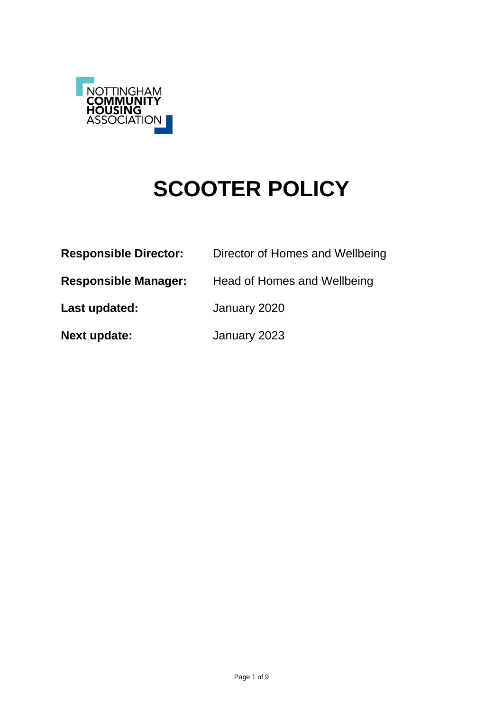

# **SCOOTER POLICY**

| <b>Responsible Director:</b> | Director of Homes and Wellbeing |
|------------------------------|---------------------------------|
| <b>Responsible Manager:</b>  | Head of Homes and Wellbeing     |
| Last updated:                | January 2020                    |
| <b>Next update:</b>          | January 2023                    |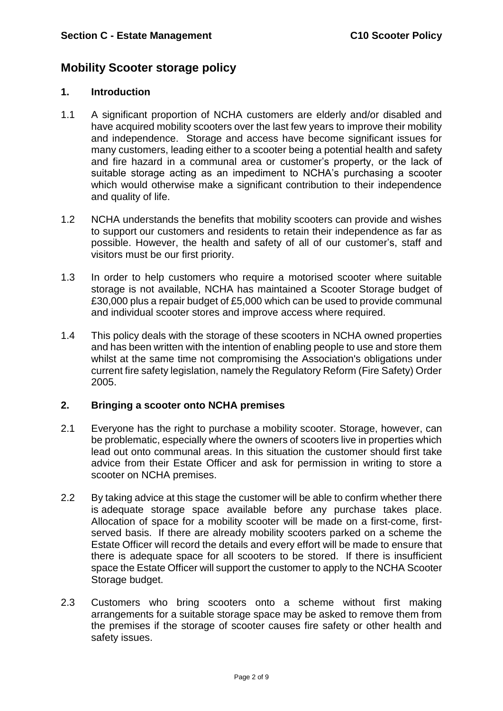# **Mobility Scooter storage policy**

#### **1. Introduction**

- 1.1 A significant proportion of NCHA customers are elderly and/or disabled and have acquired mobility scooters over the last few years to improve their mobility and independence. Storage and access have become significant issues for many customers, leading either to a scooter being a potential health and safety and fire hazard in a communal area or customer's property, or the lack of suitable storage acting as an impediment to NCHA's purchasing a scooter which would otherwise make a significant contribution to their independence and quality of life.
- 1.2 NCHA understands the benefits that mobility scooters can provide and wishes to support our customers and residents to retain their independence as far as possible. However, the health and safety of all of our customer's, staff and visitors must be our first priority.
- 1.3 In order to help customers who require a motorised scooter where suitable storage is not available, NCHA has maintained a Scooter Storage budget of £30,000 plus a repair budget of £5,000 which can be used to provide communal and individual scooter stores and improve access where required.
- 1.4 This policy deals with the storage of these scooters in NCHA owned properties and has been written with the intention of enabling people to use and store them whilst at the same time not compromising the Association's obligations under current fire safety legislation, namely the Regulatory Reform (Fire Safety) Order 2005.

# **2. Bringing a scooter onto NCHA premises**

- 2.1 Everyone has the right to purchase a mobility scooter. Storage, however, can be problematic, especially where the owners of scooters live in properties which lead out onto communal areas. In this situation the customer should first take advice from their Estate Officer and ask for permission in writing to store a scooter on NCHA premises.
- 2.2 By taking advice at this stage the customer will be able to confirm whether there is adequate storage space available before any purchase takes place. Allocation of space for a mobility scooter will be made on a first-come, firstserved basis. If there are already mobility scooters parked on a scheme the Estate Officer will record the details and every effort will be made to ensure that there is adequate space for all scooters to be stored. If there is insufficient space the Estate Officer will support the customer to apply to the NCHA Scooter Storage budget.
- 2.3 Customers who bring scooters onto a scheme without first making arrangements for a suitable storage space may be asked to remove them from the premises if the storage of scooter causes fire safety or other health and safety issues.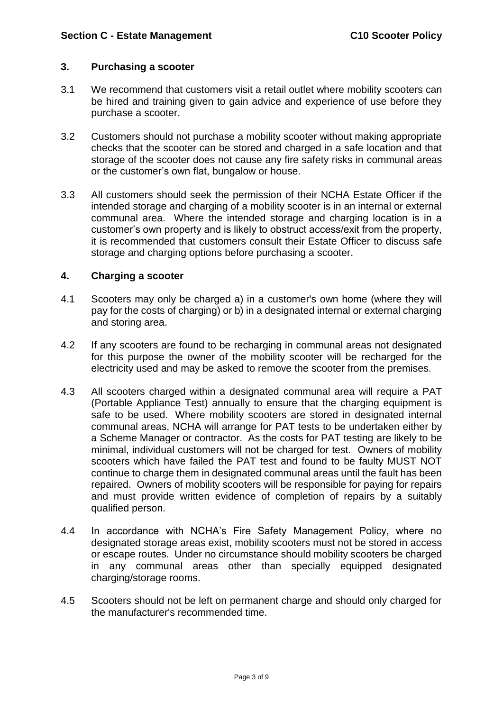### **3. Purchasing a scooter**

- 3.1 We recommend that customers visit a retail outlet where mobility scooters can be hired and training given to gain advice and experience of use before they purchase a scooter.
- 3.2 Customers should not purchase a mobility scooter without making appropriate checks that the scooter can be stored and charged in a safe location and that storage of the scooter does not cause any fire safety risks in communal areas or the customer's own flat, bungalow or house.
- 3.3 All customers should seek the permission of their NCHA Estate Officer if the intended storage and charging of a mobility scooter is in an internal or external communal area. Where the intended storage and charging location is in a customer's own property and is likely to obstruct access/exit from the property, it is recommended that customers consult their Estate Officer to discuss safe storage and charging options before purchasing a scooter.

### **4. Charging a scooter**

- 4.1 Scooters may only be charged a) in a customer's own home (where they will pay for the costs of charging) or b) in a designated internal or external charging and storing area.
- 4.2 If any scooters are found to be recharging in communal areas not designated for this purpose the owner of the mobility scooter will be recharged for the electricity used and may be asked to remove the scooter from the premises.
- 4.3 All scooters charged within a designated communal area will require a PAT (Portable Appliance Test) annually to ensure that the charging equipment is safe to be used. Where mobility scooters are stored in designated internal communal areas, NCHA will arrange for PAT tests to be undertaken either by a Scheme Manager or contractor. As the costs for PAT testing are likely to be minimal, individual customers will not be charged for test. Owners of mobility scooters which have failed the PAT test and found to be faulty MUST NOT continue to charge them in designated communal areas until the fault has been repaired. Owners of mobility scooters will be responsible for paying for repairs and must provide written evidence of completion of repairs by a suitably qualified person.
- 4.4 In accordance with NCHA's Fire Safety Management Policy, where no designated storage areas exist, mobility scooters must not be stored in access or escape routes. Under no circumstance should mobility scooters be charged in any communal areas other than specially equipped designated charging/storage rooms.
- 4.5 Scooters should not be left on permanent charge and should only charged for the manufacturer's recommended time.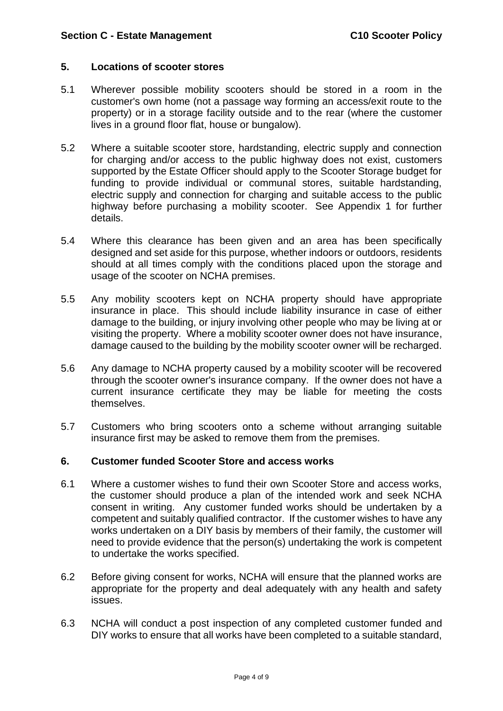## **5. Locations of scooter stores**

- 5.1 Wherever possible mobility scooters should be stored in a room in the customer's own home (not a passage way forming an access/exit route to the property) or in a storage facility outside and to the rear (where the customer lives in a ground floor flat, house or bungalow).
- 5.2 Where a suitable scooter store, hardstanding, electric supply and connection for charging and/or access to the public highway does not exist, customers supported by the Estate Officer should apply to the Scooter Storage budget for funding to provide individual or communal stores, suitable hardstanding, electric supply and connection for charging and suitable access to the public highway before purchasing a mobility scooter. See Appendix 1 for further details.
- 5.4 Where this clearance has been given and an area has been specifically designed and set aside for this purpose, whether indoors or outdoors, residents should at all times comply with the conditions placed upon the storage and usage of the scooter on NCHA premises.
- 5.5 Any mobility scooters kept on NCHA property should have appropriate insurance in place. This should include liability insurance in case of either damage to the building, or injury involving other people who may be living at or visiting the property. Where a mobility scooter owner does not have insurance, damage caused to the building by the mobility scooter owner will be recharged.
- 5.6 Any damage to NCHA property caused by a mobility scooter will be recovered through the scooter owner's insurance company. If the owner does not have a current insurance certificate they may be liable for meeting the costs themselves.
- 5.7 Customers who bring scooters onto a scheme without arranging suitable insurance first may be asked to remove them from the premises.

# **6. Customer funded Scooter Store and access works**

- 6.1 Where a customer wishes to fund their own Scooter Store and access works, the customer should produce a plan of the intended work and seek NCHA consent in writing. Any customer funded works should be undertaken by a competent and suitably qualified contractor. If the customer wishes to have any works undertaken on a DIY basis by members of their family, the customer will need to provide evidence that the person(s) undertaking the work is competent to undertake the works specified.
- 6.2 Before giving consent for works, NCHA will ensure that the planned works are appropriate for the property and deal adequately with any health and safety issues.
- 6.3 NCHA will conduct a post inspection of any completed customer funded and DIY works to ensure that all works have been completed to a suitable standard,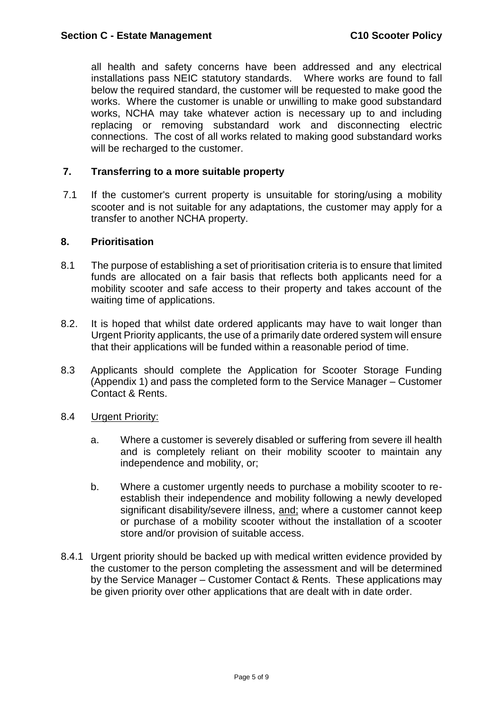all health and safety concerns have been addressed and any electrical installations pass NEIC statutory standards.Where works are found to fall below the required standard, the customer will be requested to make good the works. Where the customer is unable or unwilling to make good substandard works, NCHA may take whatever action is necessary up to and including replacing or removing substandard work and disconnecting electric connections. The cost of all works related to making good substandard works will be recharged to the customer.

## **7. Transferring to a more suitable property**

7.1 If the customer's current property is unsuitable for storing/using a mobility scooter and is not suitable for any adaptations, the customer may apply for a transfer to another NCHA property.

#### **8. Prioritisation**

- 8.1 The purpose of establishing a set of prioritisation criteria is to ensure that limited funds are allocated on a fair basis that reflects both applicants need for a mobility scooter and safe access to their property and takes account of the waiting time of applications.
- 8.2. It is hoped that whilst date ordered applicants may have to wait longer than Urgent Priority applicants, the use of a primarily date ordered system will ensure that their applications will be funded within a reasonable period of time.
- 8.3 Applicants should complete the Application for Scooter Storage Funding (Appendix 1) and pass the completed form to the Service Manager – Customer Contact & Rents.
- 8.4 Urgent Priority:
	- a. Where a customer is severely disabled or suffering from severe ill health and is completely reliant on their mobility scooter to maintain any independence and mobility, or;
	- b. Where a customer urgently needs to purchase a mobility scooter to reestablish their independence and mobility following a newly developed significant disability/severe illness, and; where a customer cannot keep or purchase of a mobility scooter without the installation of a scooter store and/or provision of suitable access.
- 8.4.1 Urgent priority should be backed up with medical written evidence provided by the customer to the person completing the assessment and will be determined by the Service Manager – Customer Contact & Rents. These applications may be given priority over other applications that are dealt with in date order.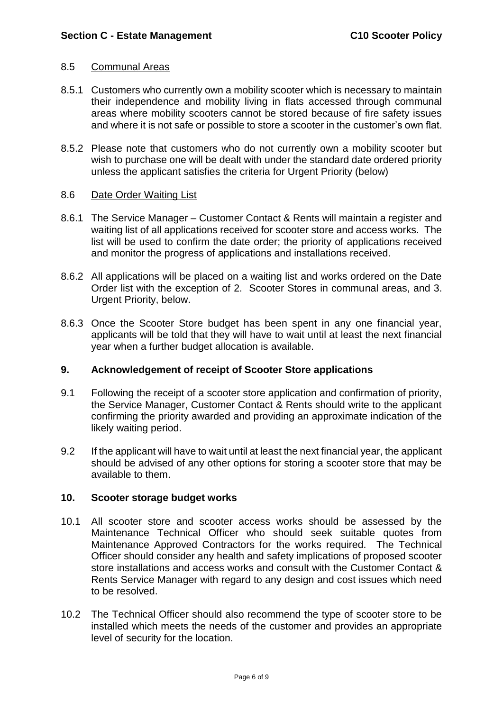#### 8.5 Communal Areas

- 8.5.1 Customers who currently own a mobility scooter which is necessary to maintain their independence and mobility living in flats accessed through communal areas where mobility scooters cannot be stored because of fire safety issues and where it is not safe or possible to store a scooter in the customer's own flat.
- 8.5.2 Please note that customers who do not currently own a mobility scooter but wish to purchase one will be dealt with under the standard date ordered priority unless the applicant satisfies the criteria for Urgent Priority (below)

### 8.6 Date Order Waiting List

- 8.6.1 The Service Manager Customer Contact & Rents will maintain a register and waiting list of all applications received for scooter store and access works. The list will be used to confirm the date order; the priority of applications received and monitor the progress of applications and installations received.
- 8.6.2 All applications will be placed on a waiting list and works ordered on the Date Order list with the exception of 2. Scooter Stores in communal areas, and 3. Urgent Priority, below.
- 8.6.3 Once the Scooter Store budget has been spent in any one financial year, applicants will be told that they will have to wait until at least the next financial year when a further budget allocation is available.

# **9. Acknowledgement of receipt of Scooter Store applications**

- 9.1 Following the receipt of a scooter store application and confirmation of priority, the Service Manager, Customer Contact & Rents should write to the applicant confirming the priority awarded and providing an approximate indication of the likely waiting period.
- 9.2 If the applicant will have to wait until at least the next financial year, the applicant should be advised of any other options for storing a scooter store that may be available to them.

# **10. Scooter storage budget works**

- 10.1 All scooter store and scooter access works should be assessed by the Maintenance Technical Officer who should seek suitable quotes from Maintenance Approved Contractors for the works required. The Technical Officer should consider any health and safety implications of proposed scooter store installations and access works and consult with the Customer Contact & Rents Service Manager with regard to any design and cost issues which need to be resolved.
- 10.2 The Technical Officer should also recommend the type of scooter store to be installed which meets the needs of the customer and provides an appropriate level of security for the location.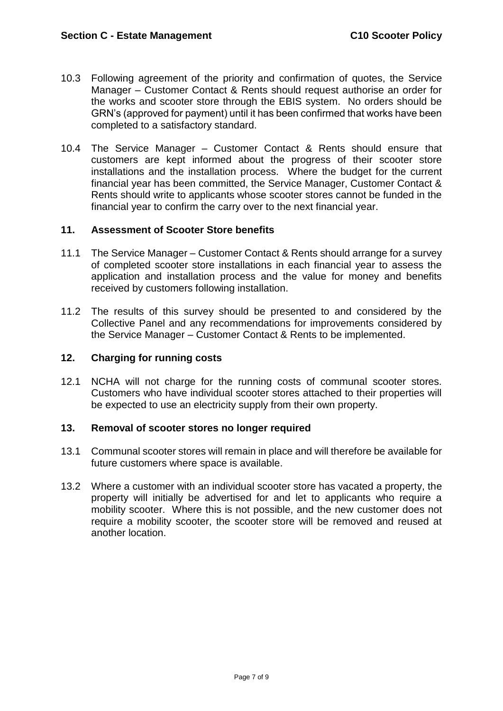- 10.3 Following agreement of the priority and confirmation of quotes, the Service Manager – Customer Contact & Rents should request authorise an order for the works and scooter store through the EBIS system. No orders should be GRN's (approved for payment) until it has been confirmed that works have been completed to a satisfactory standard.
- 10.4 The Service Manager Customer Contact & Rents should ensure that customers are kept informed about the progress of their scooter store installations and the installation process. Where the budget for the current financial year has been committed, the Service Manager, Customer Contact & Rents should write to applicants whose scooter stores cannot be funded in the financial year to confirm the carry over to the next financial year.

# **11. Assessment of Scooter Store benefits**

- 11.1 The Service Manager Customer Contact & Rents should arrange for a survey of completed scooter store installations in each financial year to assess the application and installation process and the value for money and benefits received by customers following installation.
- 11.2 The results of this survey should be presented to and considered by the Collective Panel and any recommendations for improvements considered by the Service Manager – Customer Contact & Rents to be implemented.

#### **12. Charging for running costs**

12.1 NCHA will not charge for the running costs of communal scooter stores. Customers who have individual scooter stores attached to their properties will be expected to use an electricity supply from their own property.

#### **13. Removal of scooter stores no longer required**

- 13.1 Communal scooter stores will remain in place and will therefore be available for future customers where space is available.
- 13.2 Where a customer with an individual scooter store has vacated a property, the property will initially be advertised for and let to applicants who require a mobility scooter. Where this is not possible, and the new customer does not require a mobility scooter, the scooter store will be removed and reused at another location.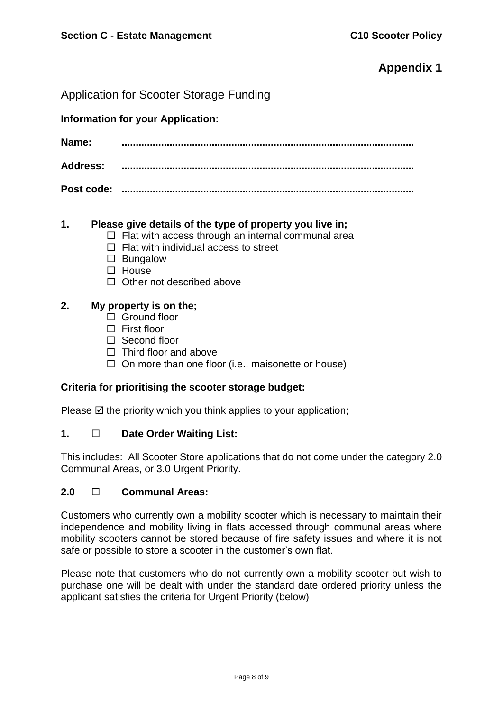# **Appendix 1**

Application for Scooter Storage Funding

**Information for your Application:**

**Name: ........................................................................................................ Address: ........................................................................................................**

**Post code: ........................................................................................................**

# **1. Please give details of the type of property you live in;**

- $\Box$  Flat with access through an internal communal area
- $\Box$  Flat with individual access to street
- $\square$  Bungalow
- $\Box$  House
- $\Box$  Other not described above

# **2. My property is on the;**

- $\Box$  Ground floor
- $\Box$  First floor
- □ Second floor
- $\Box$  Third floor and above
- $\Box$  On more than one floor (i.e., maisonette or house)

#### **Criteria for prioritising the scooter storage budget:**

Please  $\boxtimes$  the priority which you think applies to your application;

# **1. Date Order Waiting List:**

This includes: All Scooter Store applications that do not come under the category 2.0 Communal Areas, or 3.0 Urgent Priority.

#### **2.0 Communal Areas:**

Customers who currently own a mobility scooter which is necessary to maintain their independence and mobility living in flats accessed through communal areas where mobility scooters cannot be stored because of fire safety issues and where it is not safe or possible to store a scooter in the customer's own flat.

Please note that customers who do not currently own a mobility scooter but wish to purchase one will be dealt with under the standard date ordered priority unless the applicant satisfies the criteria for Urgent Priority (below)